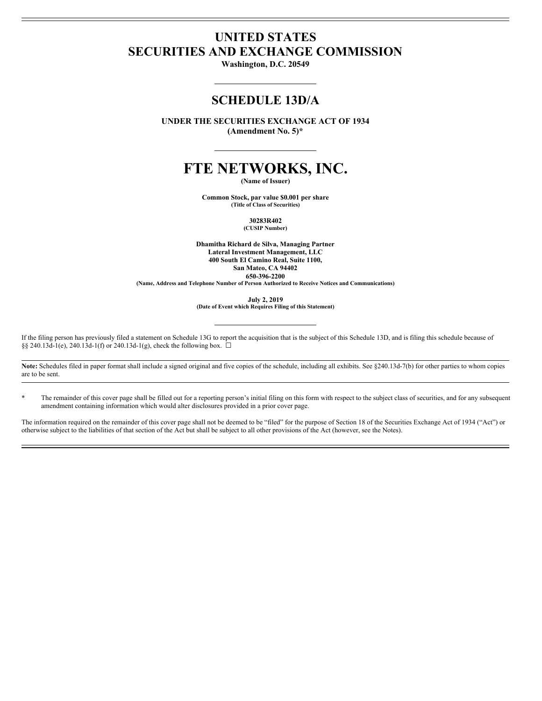# **UNITED STATES SECURITIES AND EXCHANGE COMMISSION**

**Washington, D.C. 20549**

## **SCHEDULE 13D/A**

**UNDER THE SECURITIES EXCHANGE ACT OF 1934 (Amendment No. 5)\***

# **FTE NETWORKS, INC.**

**(Name of Issuer)**

**Common Stock, par value \$0.001 per share (Title of Class of Securities)**

> **30283R402 (CUSIP Number)**

**Dhamitha Richard de Silva, Managing Partner Lateral Investment Management, LLC 400 South El Camino Real, Suite 1100, San Mateo, CA 94402 650-396-2200**

**(Name, Address and Telephone Number of Person Authorized to Receive Notices and Communications)**

**July 2, 2019**

**(Date of Event which Requires Filing of this Statement)**

If the filing person has previously filed a statement on Schedule 13G to report the acquisition that is the subject of this Schedule 13D, and is filing this schedule because of §§ 240.13d-1(e), 240.13d-1(f) or 240.13d-1(g), check the following box.  $\Box$ 

Note: Schedules filed in paper format shall include a signed original and five copies of the schedule, including all exhibits. See §240.13d-7(b) for other parties to whom copies are to be sent.

\* The remainder of this cover page shall be filled out for a reporting person's initial filing on this form with respect to the subject class of securities, and for any subsequent amendment containing information which would alter disclosures provided in a prior cover page.

The information required on the remainder of this cover page shall not be deemed to be "filed" for the purpose of Section 18 of the Securities Exchange Act of 1934 ("Act") or otherwise subject to the liabilities of that section of the Act but shall be subject to all other provisions of the Act (however, see the Notes).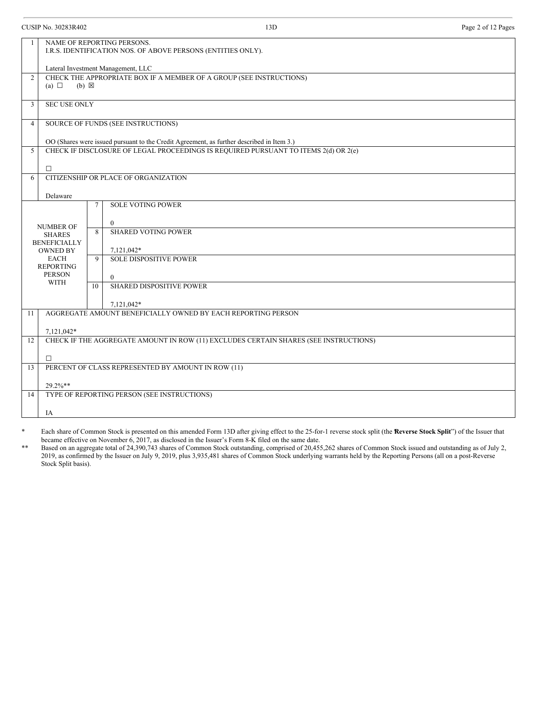CUSIP No. 30283R402 13D Page 2 of 12 Pages

| $\mathbf{1}$   | NAME OF REPORTING PERSONS.<br>I.R.S. IDENTIFICATION NOS. OF ABOVE PERSONS (ENTITIES ONLY). |                                                                                           |  |  |
|----------------|--------------------------------------------------------------------------------------------|-------------------------------------------------------------------------------------------|--|--|
|                |                                                                                            | Lateral Investment Management, LLC                                                        |  |  |
| $\mathfrak{D}$ | (a) $\Box$                                                                                 | CHECK THE APPROPRIATE BOX IF A MEMBER OF A GROUP (SEE INSTRUCTIONS)<br>$(b) \boxtimes$    |  |  |
| 3              | <b>SEC USE ONLY</b>                                                                        |                                                                                           |  |  |
| $\overline{4}$ |                                                                                            | SOURCE OF FUNDS (SEE INSTRUCTIONS)                                                        |  |  |
|                |                                                                                            | OO (Shares were issued pursuant to the Credit Agreement, as further described in Item 3.) |  |  |
| 5              |                                                                                            | CHECK IF DISCLOSURE OF LEGAL PROCEEDINGS IS REQUIRED PURSUANT TO ITEMS 2(d) OR 2(e)       |  |  |
|                | $\Box$                                                                                     |                                                                                           |  |  |
| 6              |                                                                                            | CITIZENSHIP OR PLACE OF ORGANIZATION                                                      |  |  |
|                | Delaware                                                                                   |                                                                                           |  |  |
|                |                                                                                            | <b>SOLE VOTING POWER</b><br>$\tau$                                                        |  |  |
|                |                                                                                            |                                                                                           |  |  |
|                | <b>NUMBER OF</b><br><b>SHARES</b><br><b>BENEFICIALLY</b>                                   | $\theta$<br><b>SHARED VOTING POWER</b><br>8                                               |  |  |
|                |                                                                                            |                                                                                           |  |  |
|                | <b>OWNED BY</b>                                                                            | 7,121,042*                                                                                |  |  |
|                | <b>EACH</b>                                                                                | <b>SOLE DISPOSITIVE POWER</b><br>$\mathbf Q$                                              |  |  |
|                | <b>REPORTING</b><br><b>PERSON</b>                                                          |                                                                                           |  |  |
|                | <b>WITH</b>                                                                                | $\mathbf{0}$<br><b>SHARED DISPOSITIVE POWER</b><br>10                                     |  |  |
|                |                                                                                            |                                                                                           |  |  |
|                |                                                                                            | 7,121,042*                                                                                |  |  |
| 11             |                                                                                            | AGGREGATE AMOUNT BENEFICIALLY OWNED BY EACH REPORTING PERSON                              |  |  |
|                | 7,121,042*                                                                                 |                                                                                           |  |  |
| 12             |                                                                                            | CHECK IF THE AGGREGATE AMOUNT IN ROW (11) EXCLUDES CERTAIN SHARES (SEE INSTRUCTIONS)      |  |  |
|                | $\Box$                                                                                     |                                                                                           |  |  |
| 13             | PERCENT OF CLASS REPRESENTED BY AMOUNT IN ROW (11)                                         |                                                                                           |  |  |
|                | 29.2%**                                                                                    |                                                                                           |  |  |
| 14             |                                                                                            | TYPE OF REPORTING PERSON (SEE INSTRUCTIONS)                                               |  |  |
|                |                                                                                            |                                                                                           |  |  |
|                | IA                                                                                         |                                                                                           |  |  |

\* Each share of Common Stock is presented on this amended Form 13D after giving effect to the 25-for-1 reverse stock split (the "**Reverse Stock Split**") of the Issuer that became effective on November 6, 2017, as disclosed in the Issuer's Form 8-K filed on the same date.

\*\* Based on an aggregate total of 24,390,743 shares of Common Stock outstanding, comprised of 20,455,262 shares of Common Stock issued and outstanding as of July 2, 2019, as confirmed by the Issuer on July 9, 2019, plus 3,935,481 shares of Common Stock underlying warrants held by the Reporting Persons (all on a post-Reverse Stock Split basis).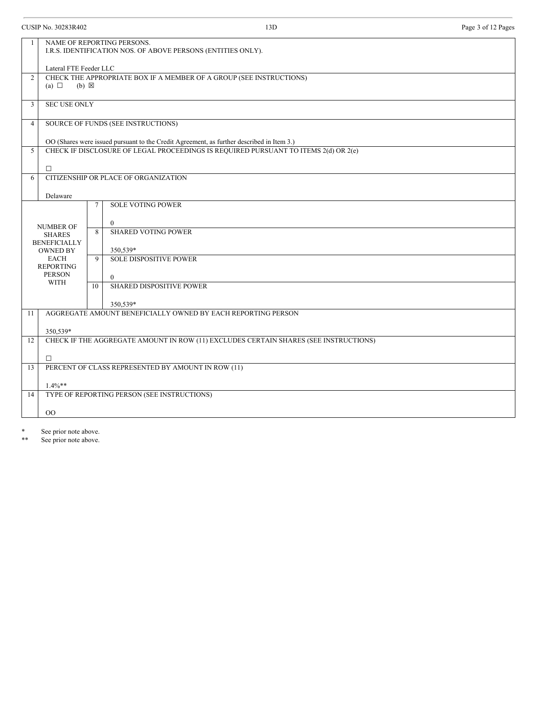| <b>CUSIP No. 30283R402</b> |                                                                                            |        | 13D                                                                                       | Page 3 of 12 Pages |  |
|----------------------------|--------------------------------------------------------------------------------------------|--------|-------------------------------------------------------------------------------------------|--------------------|--|
|                            | NAME OF REPORTING PERSONS.<br>I.R.S. IDENTIFICATION NOS. OF ABOVE PERSONS (ENTITIES ONLY). |        |                                                                                           |                    |  |
|                            | Lateral FTE Feeder LLC                                                                     |        |                                                                                           |                    |  |
| $\overline{2}$             | (a) $\Box$<br>$(b) \boxtimes$                                                              |        | CHECK THE APPROPRIATE BOX IF A MEMBER OF A GROUP (SEE INSTRUCTIONS)                       |                    |  |
| 3                          | <b>SEC USE ONLY</b>                                                                        |        |                                                                                           |                    |  |
| $\overline{4}$             |                                                                                            |        | SOURCE OF FUNDS (SEE INSTRUCTIONS)                                                        |                    |  |
|                            |                                                                                            |        | OO (Shares were issued pursuant to the Credit Agreement, as further described in Item 3.) |                    |  |
| 5                          |                                                                                            |        | CHECK IF DISCLOSURE OF LEGAL PROCEEDINGS IS REQUIRED PURSUANT TO ITEMS 2(d) OR 2(e)       |                    |  |
|                            | $\Box$                                                                                     |        |                                                                                           |                    |  |
| 6                          |                                                                                            |        | CITIZENSHIP OR PLACE OF ORGANIZATION                                                      |                    |  |
|                            | Delaware                                                                                   |        |                                                                                           |                    |  |
|                            |                                                                                            | $\tau$ | <b>SOLE VOTING POWER</b>                                                                  |                    |  |
|                            |                                                                                            |        | $\boldsymbol{0}$                                                                          |                    |  |
|                            | <b>NUMBER OF</b><br><b>SHARES</b>                                                          | 8      | <b>SHARED VOTING POWER</b>                                                                |                    |  |
|                            | <b>BENEFICIALLY</b><br><b>OWNED BY</b>                                                     |        | 350,539*                                                                                  |                    |  |
|                            | <b>EACH</b>                                                                                | 9      | <b>SOLE DISPOSITIVE POWER</b>                                                             |                    |  |
|                            | <b>REPORTING</b><br><b>PERSON</b>                                                          |        | $\mathbf{0}$                                                                              |                    |  |
|                            | WITH                                                                                       | 10     | SHARED DISPOSITIVE POWER                                                                  |                    |  |
|                            |                                                                                            |        | 350,539*                                                                                  |                    |  |
| 11                         |                                                                                            |        | AGGREGATE AMOUNT BENEFICIALLY OWNED BY EACH REPORTING PERSON                              |                    |  |
|                            | 350,539*                                                                                   |        |                                                                                           |                    |  |
| 12                         |                                                                                            |        | CHECK IF THE AGGREGATE AMOUNT IN ROW (11) EXCLUDES CERTAIN SHARES (SEE INSTRUCTIONS)      |                    |  |
|                            | $\Box$                                                                                     |        |                                                                                           |                    |  |
| 13                         |                                                                                            |        | PERCENT OF CLASS REPRESENTED BY AMOUNT IN ROW (11)                                        |                    |  |
|                            | $1.4\%**$                                                                                  |        |                                                                                           |                    |  |
| 14                         |                                                                                            |        | TYPE OF REPORTING PERSON (SEE INSTRUCTIONS)                                               |                    |  |
| $_{\rm OO}$                |                                                                                            |        |                                                                                           |                    |  |
|                            |                                                                                            |        |                                                                                           |                    |  |

\* See prior note above.<br>\*\* See prior note above.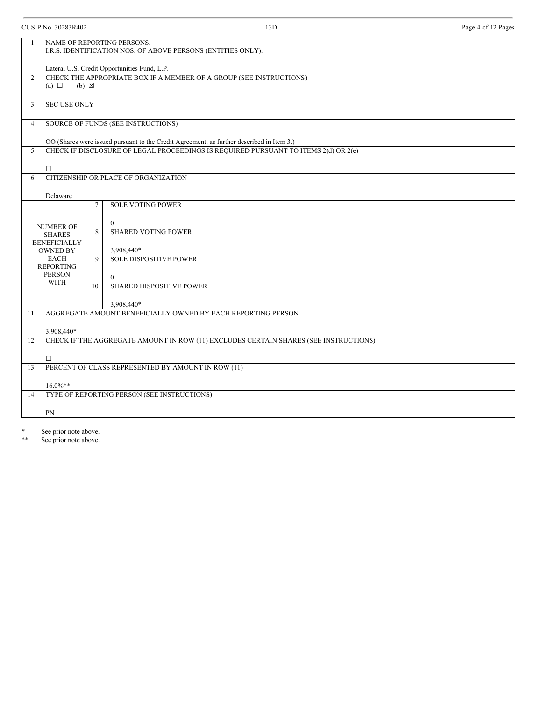CUSIP No. 30283R402 13D Page 4 of 12 Pages 1 NAME OF REPORTING PERSONS. I.R.S. IDENTIFICATION NOS. OF ABOVE PERSONS (ENTITIES ONLY). Lateral U.S. Credit Opportunities Fund, L.P. 2 CHECK THE APPROPRIATE BOX IF A MEMBER OF A GROUP (SEE INSTRUCTIONS)  $(a) \Box$  (b)  $\boxtimes$ 3 SEC USE ONLY 4 SOURCE OF FUNDS (SEE INSTRUCTIONS) OO (Shares were issued pursuant to the Credit Agreement, as further described in Item 3.) 5 CHECK IF DISCLOSURE OF LEGAL PROCEEDINGS IS REQUIRED PURSUANT TO ITEMS 2(d) OR 2(e)  $\Box$ 6 CITIZENSHIP OR PLACE OF ORGANIZATION Delaware NUMBER OF SHARES BENEFICIALLY OWNED BY EACH REPORTING PERSON WITH 7 SOLE VOTING POWER 0 8 SHARED VOTING POWER 3,908,440\* 9 SOLE DISPOSITIVE POWER 0 10 SHARED DISPOSITIVE POWER 3,908,440\* 11 AGGREGATE AMOUNT BENEFICIALLY OWNED BY EACH REPORTING PERSON 3,908,440\* 12 CHECK IF THE AGGREGATE AMOUNT IN ROW (11) EXCLUDES CERTAIN SHARES (SEE INSTRUCTIONS) ☐ 13 PERCENT OF CLASS REPRESENTED BY AMOUNT IN ROW (11) 16.0%\*\* 14 TYPE OF REPORTING PERSON (SEE INSTRUCTIONS) PN

\* See prior note above.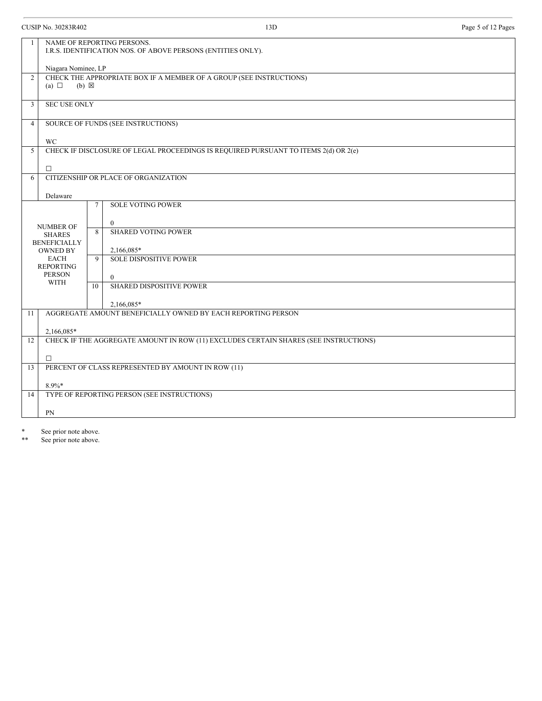| $\mathbf{1}$   | NAME OF REPORTING PERSONS.<br>I.R.S. IDENTIFICATION NOS. OF ABOVE PERSONS (ENTITIES ONLY). |             |                                                                                     |  |
|----------------|--------------------------------------------------------------------------------------------|-------------|-------------------------------------------------------------------------------------|--|
|                |                                                                                            |             |                                                                                     |  |
|                | Niagara Nominee, LP                                                                        |             |                                                                                     |  |
| $\overline{2}$ |                                                                                            |             | CHECK THE APPROPRIATE BOX IF A MEMBER OF A GROUP (SEE INSTRUCTIONS)                 |  |
|                | (a) $\Box$<br>$(b) \boxtimes$                                                              |             |                                                                                     |  |
| 3              | <b>SEC USE ONLY</b>                                                                        |             |                                                                                     |  |
|                |                                                                                            |             |                                                                                     |  |
| $\overline{4}$ |                                                                                            |             | SOURCE OF FUNDS (SEE INSTRUCTIONS)                                                  |  |
|                |                                                                                            |             |                                                                                     |  |
| 5              | <b>WC</b>                                                                                  |             | CHECK IF DISCLOSURE OF LEGAL PROCEEDINGS IS REQUIRED PURSUANT TO ITEMS 2(d) OR 2(e) |  |
|                |                                                                                            |             |                                                                                     |  |
|                | $\Box$                                                                                     |             |                                                                                     |  |
| 6              |                                                                                            |             | CITIZENSHIP OR PLACE OF ORGANIZATION                                                |  |
|                | Delaware                                                                                   |             |                                                                                     |  |
|                |                                                                                            | 7           | <b>SOLE VOTING POWER</b>                                                            |  |
|                |                                                                                            |             |                                                                                     |  |
|                | <b>NUMBER OF</b>                                                                           |             | $\mathbf{0}$                                                                        |  |
|                | <b>SHARES</b>                                                                              | 8           | <b>SHARED VOTING POWER</b>                                                          |  |
|                | <b>BENEFICIALLY</b><br><b>OWNED BY</b>                                                     |             | 2,166,085*                                                                          |  |
| <b>EACH</b>    |                                                                                            | $\mathbf Q$ | <b>SOLE DISPOSITIVE POWER</b>                                                       |  |
|                | <b>REPORTING</b>                                                                           |             |                                                                                     |  |
|                | <b>PERSON</b><br><b>WITH</b>                                                               |             | $\theta$                                                                            |  |
|                |                                                                                            | 10          | <b>SHARED DISPOSITIVE POWER</b>                                                     |  |
|                |                                                                                            |             | 2.166.085*                                                                          |  |
| 11             |                                                                                            |             | AGGREGATE AMOUNT BENEFICIALLY OWNED BY EACH REPORTING PERSON                        |  |
|                |                                                                                            |             |                                                                                     |  |
| 12             | 2,166,085*                                                                                 |             |                                                                                     |  |
|                | CHECK IF THE AGGREGATE AMOUNT IN ROW (11) EXCLUDES CERTAIN SHARES (SEE INSTRUCTIONS)       |             |                                                                                     |  |
|                | $\Box$                                                                                     |             |                                                                                     |  |
| 13             |                                                                                            |             | PERCENT OF CLASS REPRESENTED BY AMOUNT IN ROW (11)                                  |  |
|                |                                                                                            |             |                                                                                     |  |
| 14             | 8.9%*                                                                                      |             | TYPE OF REPORTING PERSON (SEE INSTRUCTIONS)                                         |  |
|                |                                                                                            |             |                                                                                     |  |
|                | PN                                                                                         |             |                                                                                     |  |
|                |                                                                                            |             |                                                                                     |  |

\* See prior note above.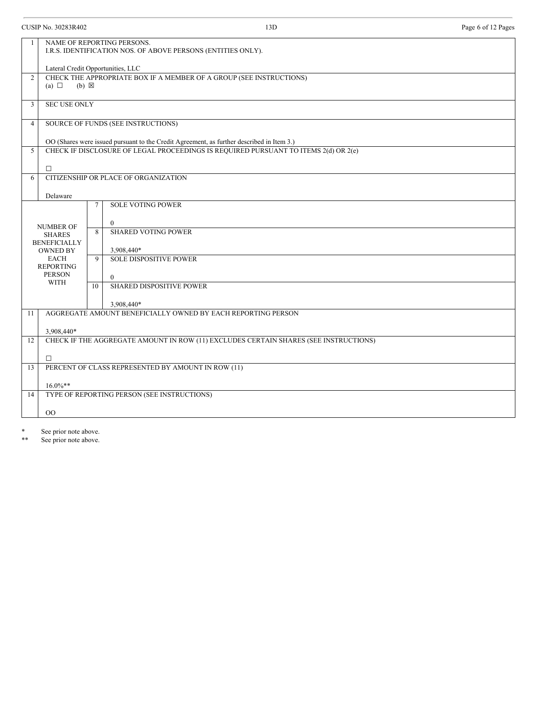| <b>CUSIP No. 30283R402</b> |                                        |             | 13D                                                                                        | Page 6 of 12 Pages |
|----------------------------|----------------------------------------|-------------|--------------------------------------------------------------------------------------------|--------------------|
|                            |                                        |             | NAME OF REPORTING PERSONS.<br>I.R.S. IDENTIFICATION NOS. OF ABOVE PERSONS (ENTITIES ONLY). |                    |
|                            | Lateral Credit Opportunities, LLC      |             |                                                                                            |                    |
| $\overline{2}$             | (a) $\Box$<br>$(b) \boxtimes$          |             | CHECK THE APPROPRIATE BOX IF A MEMBER OF A GROUP (SEE INSTRUCTIONS)                        |                    |
| 3                          | <b>SEC USE ONLY</b>                    |             |                                                                                            |                    |
| $\overline{4}$             |                                        |             | SOURCE OF FUNDS (SEE INSTRUCTIONS)                                                         |                    |
|                            |                                        |             | OO (Shares were issued pursuant to the Credit Agreement, as further described in Item 3.)  |                    |
| 5                          |                                        |             | CHECK IF DISCLOSURE OF LEGAL PROCEEDINGS IS REQUIRED PURSUANT TO ITEMS 2(d) OR 2(e)        |                    |
|                            | $\Box$                                 |             |                                                                                            |                    |
| 6                          |                                        |             | CITIZENSHIP OR PLACE OF ORGANIZATION                                                       |                    |
|                            | Delaware                               |             |                                                                                            |                    |
|                            |                                        | $\tau$      | <b>SOLE VOTING POWER</b>                                                                   |                    |
|                            |                                        |             | $\mathbf{0}$                                                                               |                    |
|                            | <b>NUMBER OF</b><br><b>SHARES</b>      | 8           | <b>SHARED VOTING POWER</b>                                                                 |                    |
|                            | <b>BENEFICIALLY</b><br><b>OWNED BY</b> |             | 3,908,440*                                                                                 |                    |
|                            | <b>EACH</b>                            | $\mathbf Q$ | <b>SOLE DISPOSITIVE POWER</b>                                                              |                    |
|                            | <b>REPORTING</b><br><b>PERSON</b>      |             | $\mathbf{0}$                                                                               |                    |
|                            | <b>WITH</b>                            | 10          | SHARED DISPOSITIVE POWER                                                                   |                    |
|                            |                                        |             | 3,908,440*                                                                                 |                    |
| 11                         |                                        |             | AGGREGATE AMOUNT BENEFICIALLY OWNED BY EACH REPORTING PERSON                               |                    |
|                            | 3,908,440*                             |             |                                                                                            |                    |
| 12                         |                                        |             | CHECK IF THE AGGREGATE AMOUNT IN ROW (11) EXCLUDES CERTAIN SHARES (SEE INSTRUCTIONS)       |                    |
|                            | $\Box$                                 |             |                                                                                            |                    |
| 13                         |                                        |             | PERCENT OF CLASS REPRESENTED BY AMOUNT IN ROW (11)                                         |                    |
|                            | $16.0\%**$                             |             |                                                                                            |                    |
| 14                         |                                        |             | TYPE OF REPORTING PERSON (SEE INSTRUCTIONS)                                                |                    |
| $_{\rm OO}$                |                                        |             |                                                                                            |                    |
|                            |                                        |             |                                                                                            |                    |

\* See prior note above.<br>\*\* See prior note above.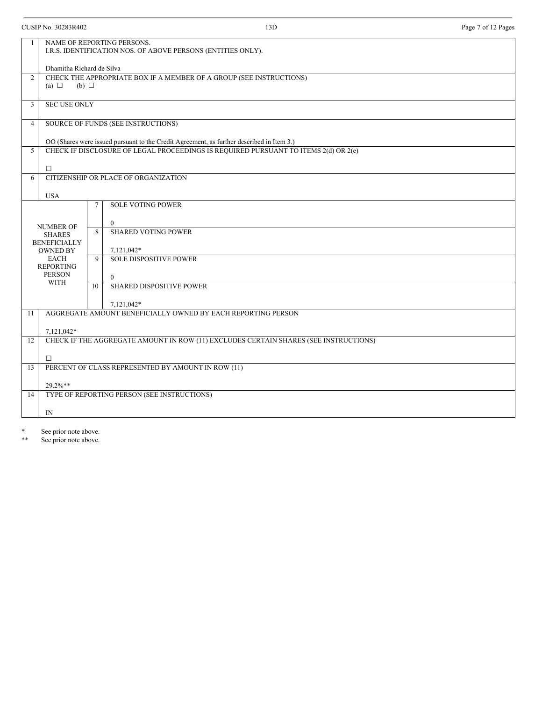CUSIP No. 30283R402 13D Page 7 of 12 Pages 1 NAME OF REPORTING PERSONS. I.R.S. IDENTIFICATION NOS. OF ABOVE PERSONS (ENTITIES ONLY). Dhamitha Richard de Silva 2 CHECK THE APPROPRIATE BOX IF A MEMBER OF A GROUP (SEE INSTRUCTIONS) (a)  $\Box$ (b)  $\Box$ 3 SEC USE ONLY 4 SOURCE OF FUNDS (SEE INSTRUCTIONS) OO (Shares were issued pursuant to the Credit Agreement, as further described in Item 3.) 5 CHECK IF DISCLOSURE OF LEGAL PROCEEDINGS IS REQUIRED PURSUANT TO ITEMS 2(d) OR 2(e)  $\Box$ 6 CITIZENSHIP OR PLACE OF ORGANIZATION USA NUMBER OF SHARES BENEFICIALLY OWNED BY EACH REPORTING PERSON WITH 7 SOLE VOTING POWER 0 8 SHARED VOTING POWER 7,121,042\* 9 SOLE DISPOSITIVE POWER 0 10 SHARED DISPOSITIVE POWER 7,121,042\* 11 AGGREGATE AMOUNT BENEFICIALLY OWNED BY EACH REPORTING PERSON 7,121,042\* 12 CHECK IF THE AGGREGATE AMOUNT IN ROW (11) EXCLUDES CERTAIN SHARES (SEE INSTRUCTIONS) ☐ 13 PERCENT OF CLASS REPRESENTED BY AMOUNT IN ROW (11) 29.2%\*\* 14 TYPE OF REPORTING PERSON (SEE INSTRUCTIONS) IN

\* See prior note above.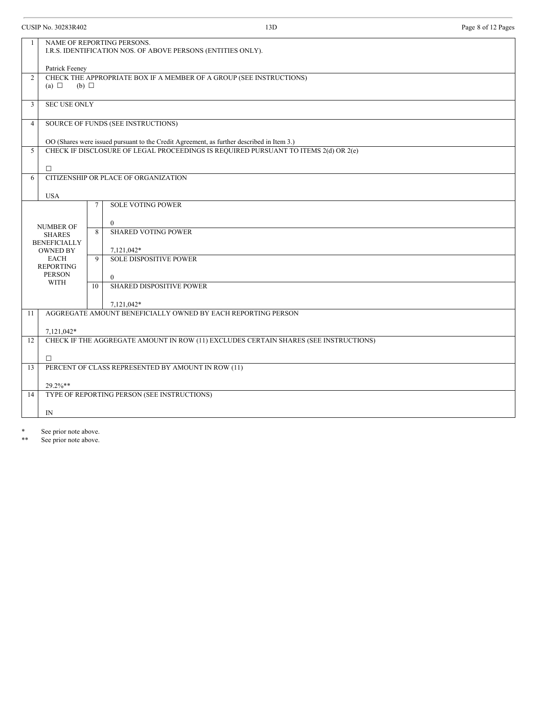| $\mathbf{1}$   | NAME OF REPORTING PERSONS.<br>I.R.S. IDENTIFICATION NOS. OF ABOVE PERSONS (ENTITIES ONLY). |             |                                                                                                                                                                                  |  |
|----------------|--------------------------------------------------------------------------------------------|-------------|----------------------------------------------------------------------------------------------------------------------------------------------------------------------------------|--|
|                | Patrick Feeney                                                                             |             |                                                                                                                                                                                  |  |
| 2              |                                                                                            |             | CHECK THE APPROPRIATE BOX IF A MEMBER OF A GROUP (SEE INSTRUCTIONS)                                                                                                              |  |
|                | (a) $\Box$<br>$(b)$ $\square$                                                              |             |                                                                                                                                                                                  |  |
| 3              | <b>SEC USE ONLY</b>                                                                        |             |                                                                                                                                                                                  |  |
| $\overline{4}$ |                                                                                            |             | SOURCE OF FUNDS (SEE INSTRUCTIONS)                                                                                                                                               |  |
|                |                                                                                            |             |                                                                                                                                                                                  |  |
| 5              |                                                                                            |             | OO (Shares were issued pursuant to the Credit Agreement, as further described in Item 3.)<br>CHECK IF DISCLOSURE OF LEGAL PROCEEDINGS IS REQUIRED PURSUANT TO ITEMS 2(d) OR 2(e) |  |
|                |                                                                                            |             |                                                                                                                                                                                  |  |
|                | $\Box$                                                                                     |             |                                                                                                                                                                                  |  |
| 6              |                                                                                            |             | CITIZENSHIP OR PLACE OF ORGANIZATION                                                                                                                                             |  |
|                | <b>USA</b>                                                                                 |             |                                                                                                                                                                                  |  |
|                |                                                                                            | 7           | <b>SOLE VOTING POWER</b>                                                                                                                                                         |  |
|                |                                                                                            |             | $\mathbf{0}$                                                                                                                                                                     |  |
|                | <b>NUMBER OF</b><br><b>SHARES</b>                                                          | 8           | <b>SHARED VOTING POWER</b>                                                                                                                                                       |  |
|                | <b>BENEFICIALLY</b>                                                                        |             |                                                                                                                                                                                  |  |
|                | <b>OWNED BY</b>                                                                            |             | 7,121,042*                                                                                                                                                                       |  |
|                | <b>EACH</b><br><b>REPORTING</b>                                                            | $\mathbf Q$ | <b>SOLE DISPOSITIVE POWER</b>                                                                                                                                                    |  |
|                | <b>PERSON</b>                                                                              |             | $\theta$                                                                                                                                                                         |  |
|                | <b>WITH</b>                                                                                | 10          | <b>SHARED DISPOSITIVE POWER</b>                                                                                                                                                  |  |
|                |                                                                                            |             |                                                                                                                                                                                  |  |
|                |                                                                                            |             | 7,121,042*<br>AGGREGATE AMOUNT BENEFICIALLY OWNED BY EACH REPORTING PERSON                                                                                                       |  |
| 11             |                                                                                            |             |                                                                                                                                                                                  |  |
|                | 7,121,042*                                                                                 |             |                                                                                                                                                                                  |  |
| 12             | CHECK IF THE AGGREGATE AMOUNT IN ROW (11) EXCLUDES CERTAIN SHARES (SEE INSTRUCTIONS)       |             |                                                                                                                                                                                  |  |
|                | $\Box$                                                                                     |             |                                                                                                                                                                                  |  |
| 13             |                                                                                            |             | PERCENT OF CLASS REPRESENTED BY AMOUNT IN ROW (11)                                                                                                                               |  |
|                |                                                                                            |             |                                                                                                                                                                                  |  |
| 14             | 29.2%**                                                                                    |             | TYPE OF REPORTING PERSON (SEE INSTRUCTIONS)                                                                                                                                      |  |
|                |                                                                                            |             |                                                                                                                                                                                  |  |
|                | IN                                                                                         |             |                                                                                                                                                                                  |  |
|                |                                                                                            |             |                                                                                                                                                                                  |  |

\* See prior note above.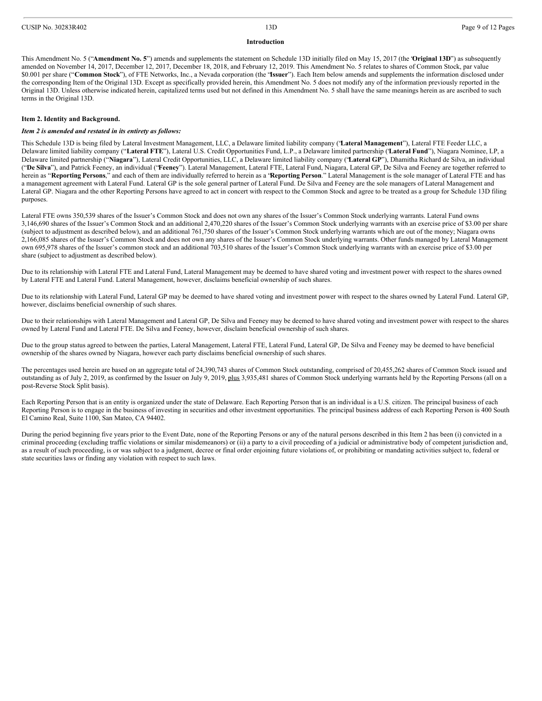#### **Introduction**

This Amendment No. 5 ("**Amendment No. 5**") amends and supplements the statement on Schedule 13D initially filed on May 15, 2017 (the "**Original 13D**") as subsequently amended on November 14, 2017, December 12, 2017, December 18, 2018, and February 12, 2019. This Amendment No. 5 relates to shares of Common Stock, par value \$0.001 per share ("**Common Stock**"), of FTE Networks, Inc., a Nevada corporation (the "**Issuer**"). Each Item below amends and supplements the information disclosed under the corresponding Item of the Original 13D. Except as specifically provided herein, this Amendment No. 5 does not modify any of the information previously reported in the Original 13D. Unless otherwise indicated herein, capitalized terms used but not defined in this Amendment No. 5 shall have the same meanings herein as are ascribed to such terms in the Original 13D.

#### **Item 2. Identity and Background.**

#### *Item 2 is amended and restated in its entirety as follows:*

This Schedule 13D is being filed by Lateral Investment Management, LLC, a Delaware limited liability company ("**Lateral Management**"), Lateral FTE Feeder LLC, a Delaware limited liability company ("**Lateral FTE**"), Lateral U.S. Credit Opportunities Fund, L.P., a Delaware limited partnership ("**Lateral Fund**"), Niagara Nominee, LP, a Delaware limited partnership ("**Niagara**"), Lateral Credit Opportunities, LLC, a Delaware limited liability company ("**Lateral GP**"), Dhamitha Richard de Silva, an individual ("**De Silva**"), and Patrick Feeney, an individual ("**Feeney**"). Lateral Management, Lateral FTE, Lateral Fund, Niagara, Lateral GP, De Silva and Feeney are together referred to herein as "**Reporting Persons**," and each of them are individually referred to herein as a "**Reporting Person**." Lateral Management is the sole manager of Lateral FTE and has a management agreement with Lateral Fund. Lateral GP is the sole general partner of Lateral Fund. De Silva and Feeney are the sole managers of Lateral Management and Lateral GP. Niagara and the other Reporting Persons have agreed to act in concert with respect to the Common Stock and agree to be treated as a group for Schedule 13D filing purposes.

Lateral FTE owns 350,539 shares of the Issuer's Common Stock and does not own any shares of the Issuer's Common Stock underlying warrants. Lateral Fund owns 3,146,690 shares of the Issuer's Common Stock and an additional 2,470,220 shares of the Issuer's Common Stock underlying warrants with an exercise price of \$3.00 per share (subject to adjustment as described below), and an additional 761,750 shares of the Issuer's Common Stock underlying warrants which are out of the money; Niagara owns 2,166,085 shares of the Issuer's Common Stock and does not own any shares of the Issuer's Common Stock underlying warrants. Other funds managed by Lateral Management own 695,978 shares of the Issuer's common stock and an additional 703,510 shares of the Issuer's Common Stock underlying warrants with an exercise price of \$3.00 per share (subject to adjustment as described below).

Due to its relationship with Lateral FTE and Lateral Fund, Lateral Management may be deemed to have shared voting and investment power with respect to the shares owned by Lateral FTE and Lateral Fund. Lateral Management, however, disclaims beneficial ownership of such shares.

Due to its relationship with Lateral Fund, Lateral GP may be deemed to have shared voting and investment power with respect to the shares owned by Lateral Fund. Lateral GP, however, disclaims beneficial ownership of such shares.

Due to their relationships with Lateral Management and Lateral GP, De Silva and Feeney may be deemed to have shared voting and investment power with respect to the shares owned by Lateral Fund and Lateral FTE. De Silva and Feeney, however, disclaim beneficial ownership of such shares.

Due to the group status agreed to between the parties, Lateral Management, Lateral FTE, Lateral Fund, Lateral GP, De Silva and Feeney may be deemed to have beneficial ownership of the shares owned by Niagara, however each party disclaims beneficial ownership of such shares.

The percentages used herein are based on an aggregate total of 24,390,743 shares of Common Stock outstanding, comprised of 20,455,262 shares of Common Stock issued and outstanding as of July 2, 2019, as confirmed by the Issuer on July 9, 2019, plus 3,935,481 shares of Common Stock underlying warrants held by the Reporting Persons (all on a post-Reverse Stock Split basis).

Each Reporting Person that is an entity is organized under the state of Delaware. Each Reporting Person that is an individual is a U.S. citizen. The principal business of each Reporting Person is to engage in the business of investing in securities and other investment opportunities. The principal business address of each Reporting Person is 400 South El Camino Real, Suite 1100, San Mateo, CA 94402.

During the period beginning five years prior to the Event Date, none of the Reporting Persons or any of the natural persons described in this Item 2 has been (i) convicted in a criminal proceeding (excluding traffic violations or similar misdemeanors) or (ii) a party to a civil proceeding of a judicial or administrative body of competent jurisdiction and, as a result of such proceeding, is or was subject to a judgment, decree or final order enjoining future violations of, or prohibiting or mandating activities subject to, federal or state securities laws or finding any violation with respect to such laws.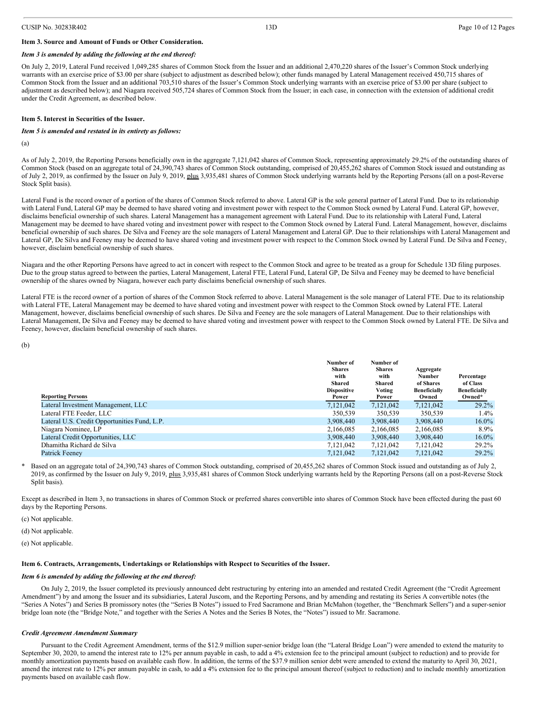#### **Item 3. Source and Amount of Funds or Other Consideration.**

#### *Item 3 is amended by adding the following at the end thereof:*

On July 2, 2019, Lateral Fund received 1,049,285 shares of Common Stock from the Issuer and an additional 2,470,220 shares of the Issuer's Common Stock underlying warrants with an exercise price of \$3.00 per share (subject to adjustment as described below); other funds managed by Lateral Management received 450,715 shares of Common Stock from the Issuer and an additional 703,510 shares of the Issuer's Common Stock underlying warrants with an exercise price of \$3.00 per share (subject to adjustment as described below); and Niagara received 505,724 shares of Common Stock from the Issuer; in each case, in connection with the extension of additional credit under the Credit Agreement, as described below.

#### **Item 5. Interest in Securities of the Issuer.**

#### *Item 5 is amended and restated in its entirety as follows:*

(a)

As of July 2, 2019, the Reporting Persons beneficially own in the aggregate 7,121,042 shares of Common Stock, representing approximately 29.2% of the outstanding shares of Common Stock (based on an aggregate total of 24,390,743 shares of Common Stock outstanding, comprised of 20,455,262 shares of Common Stock issued and outstanding as of July 2, 2019, as confirmed by the Issuer on July 9, 2019, plus 3,935,481 shares of Common Stock underlying warrants held by the Reporting Persons (all on a post-Reverse Stock Split basis).

Lateral Fund is the record owner of a portion of the shares of Common Stock referred to above. Lateral GP is the sole general partner of Lateral Fund. Due to its relationship with Lateral Fund, Lateral GP may be deemed to have shared voting and investment power with respect to the Common Stock owned by Lateral Fund. Lateral GP, however, disclaims beneficial ownership of such shares. Lateral Management has a management agreement with Lateral Fund. Due to its relationship with Lateral Fund, Lateral Management may be deemed to have shared voting and investment power with respect to the Common Stock owned by Lateral Fund. Lateral Management, however, disclaims beneficial ownership of such shares. De Silva and Feeney are the sole managers of Lateral Management and Lateral GP. Due to their relationships with Lateral Management and Lateral GP, De Silva and Feeney may be deemed to have shared voting and investment power with respect to the Common Stock owned by Lateral Fund. De Silva and Feeney, however, disclaim beneficial ownership of such shares.

Niagara and the other Reporting Persons have agreed to act in concert with respect to the Common Stock and agree to be treated as a group for Schedule 13D filing purposes. Due to the group status agreed to between the parties, Lateral Management, Lateral FTE, Lateral Fund, Lateral GP, De Silva and Feeney may be deemed to have beneficial ownership of the shares owned by Niagara, however each party disclaims beneficial ownership of such shares.

Lateral FTE is the record owner of a portion of shares of the Common Stock referred to above. Lateral Management is the sole manager of Lateral FTE. Due to its relationship with Lateral FTE, Lateral Management may be deemed to have shared voting and investment power with respect to the Common Stock owned by Lateral FTE. Lateral Management, however, disclaims beneficial ownership of such shares. De Silva and Feeney are the sole managers of Lateral Management. Due to their relationships with Lateral Management, De Silva and Feeney may be deemed to have shared voting and investment power with respect to the Common Stock owned by Lateral FTE. De Silva and Feeney, however, disclaim beneficial ownership of such shares.

(b)

|                                              | Number of          | Number of     |                     |                     |
|----------------------------------------------|--------------------|---------------|---------------------|---------------------|
|                                              | <b>Shares</b>      | <b>Shares</b> | Aggregate           |                     |
|                                              | with               | with          | Number              | Percentage          |
|                                              | Shared             | Shared        | of Shares           | of Class            |
|                                              | <b>Dispositive</b> | Voting        | <b>Beneficially</b> | <b>Beneficially</b> |
| <b>Reporting Persons</b>                     | Power              | Power         | Owned               | Owned*              |
| Lateral Investment Management, LLC           | 7,121,042          | 7,121,042     | 7,121,042           | $29.2\%$            |
| Lateral FTE Feeder, LLC                      | 350,539            | 350,539       | 350.539             | $1.4\%$             |
| Lateral U.S. Credit Opportunities Fund, L.P. | 3,908,440          | 3,908,440     | 3,908,440           | $16.0\%$            |
| Niagara Nominee, LP                          | 2,166,085          | 2,166,085     | 2,166,085           | $8.9\%$             |
| Lateral Credit Opportunities, LLC            | 3,908,440          | 3,908,440     | 3,908,440           | $16.0\%$            |
| Dhamitha Richard de Silva                    | 7.121.042          | 7.121.042     | 7.121.042           | 29.2%               |
| <b>Patrick Feenev</b>                        | 7.121.042          | 7.121.042     | 7,121,042           | $29.2\%$            |

Based on an aggregate total of 24,390,743 shares of Common Stock outstanding, comprised of 20,455,262 shares of Common Stock issued and outstanding as of July 2, 2019, as confirmed by the Issuer on July 9, 2019, plus 3,935,481 shares of Common Stock underlying warrants held by the Reporting Persons (all on a post-Reverse Stock Split basis).

Except as described in Item 3, no transactions in shares of Common Stock or preferred shares convertible into shares of Common Stock have been effected during the past 60 days by the Reporting Persons.

(c) Not applicable.

(d) Not applicable.

(e) Not applicable.

#### **Item 6. Contracts, Arrangements, Undertakings or Relationships with Respect to Securities of the Issuer.**

#### *Item 6 is amended by adding the following at the end thereof:*

On July 2, 2019, the Issuer completed its previously announced debt restructuring by entering into an amended and restated Credit Agreement (the "Credit Agreement Amendment") by and among the Issuer and its subsidiaries, Lateral Juscom, and the Reporting Persons, and by amending and restating its Series A convertible notes (the "Series A Notes") and Series B promissory notes (the "Series B Notes") issued to Fred Sacramone and Brian McMahon (together, the "Benchmark Sellers") and a super-senior bridge loan note (the "Bridge Note," and together with the Series A Notes and the Series B Notes, the "Notes") issued to Mr. Sacramone.

#### *Credit Agreement Amendment Summary*

Pursuant to the Credit Agreement Amendment, terms of the \$12.9 million super-senior bridge loan (the "Lateral Bridge Loan") were amended to extend the maturity to September 30, 2020, to amend the interest rate to 12% per annum payable in cash, to add a 4% extension fee to the principal amount (subject to reduction) and to provide for monthly amortization payments based on available cash flow. In addition, the terms of the \$37.9 million senior debt were amended to extend the maturity to April 30, 2021, amend the interest rate to 12% per annum payable in cash, to add a 4% extension fee to the principal amount thereof (subject to reduction) and to include monthly amortization payments based on available cash flow.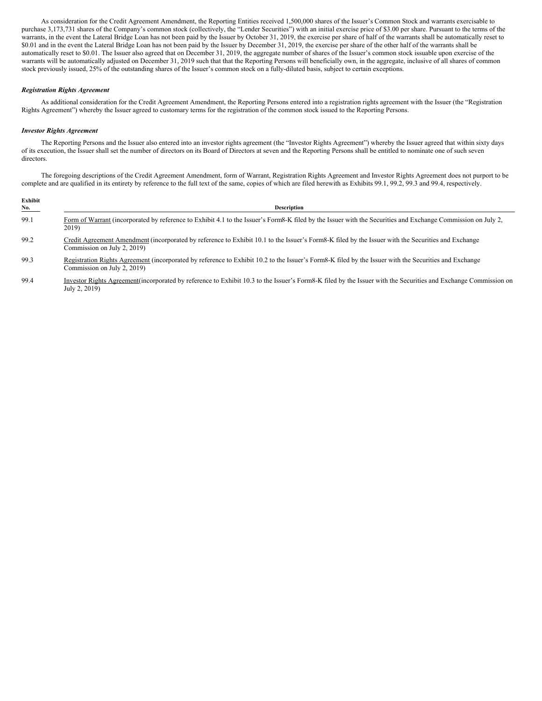As consideration for the Credit Agreement Amendment, the Reporting Entities received 1,500,000 shares of the Issuer's Common Stock and warrants exercisable to purchase 3,173,731 shares of the Company's common stock (collectively, the "Lender Securities") with an initial exercise price of \$3.00 per share. Pursuant to the terms of the warrants, in the event the Lateral Bridge Loan has not been paid by the Issuer by October 31, 2019, the exercise per share of half of the warrants shall be automatically reset to \$0.01 and in the event the Lateral Bridge Loan has not been paid by the Issuer by December 31, 2019, the exercise per share of the other half of the warrants shall be automatically reset to \$0.01. The Issuer also agreed that on December 31, 2019, the aggregate number of shares of the Issuer's common stock issuable upon exercise of the warrants will be automatically adjusted on December 31, 2019 such that that the Reporting Persons will beneficially own, in the aggregate, inclusive of all shares of common stock previously issued, 25% of the outstanding shares of the Issuer's common stock on a fully-diluted basis, subject to certain exceptions.

#### *Registration Rights Agreement*

As additional consideration for the Credit Agreement Amendment, the Reporting Persons entered into a registration rights agreement with the Issuer (the "Registration Rights Agreement") whereby the Issuer agreed to customary terms for the registration of the common stock issued to the Reporting Persons.

#### *Investor Rights Agreement*

The Reporting Persons and the Issuer also entered into an investor rights agreement (the "Investor Rights Agreement") whereby the Issuer agreed that within sixty days of its execution, the Issuer shall set the number of directors on its Board of Directors at seven and the Reporting Persons shall be entitled to nominate one of such seven directors.

The foregoing descriptions of the Credit Agreement Amendment, form of Warrant, Registration Rights Agreement and Investor Rights Agreement does not purport to be complete and are qualified in its entirety by reference to the full text of the same, copies of which are filed herewith as Exhibits 99.1, 99.2, 99.3 and 99.4, respectively.

| Exhibit<br><b>No.</b> | <b>Description</b>                                                                                                                                                                   |
|-----------------------|--------------------------------------------------------------------------------------------------------------------------------------------------------------------------------------|
| 99.1                  | Form of Warrant (incorporated by reference to Exhibit 4.1 to the Issuer's Form8-K filed by the Issuer with the Securities and Exchange Commission on July 2,<br>2019)                |
| 99.2                  | Credit Agreement Amendment (incorporated by reference to Exhibit 10.1 to the Issuer's Form8-K filed by the Issuer with the Securities and Exchange<br>Commission on July 2, 2019)    |
| 99.3                  | Registration Rights Agreement (incorporated by reference to Exhibit 10.2 to the Issuer's Form8-K filed by the Issuer with the Securities and Exchange<br>Commission on July 2, 2019) |
| 99.4                  | Investor Rights Agreement (incorporated by reference to Exhibit 10.3 to the Issuer's Form8-K filed by the Issuer with the Securities and Exchange Commission on<br>July 2, 2019)     |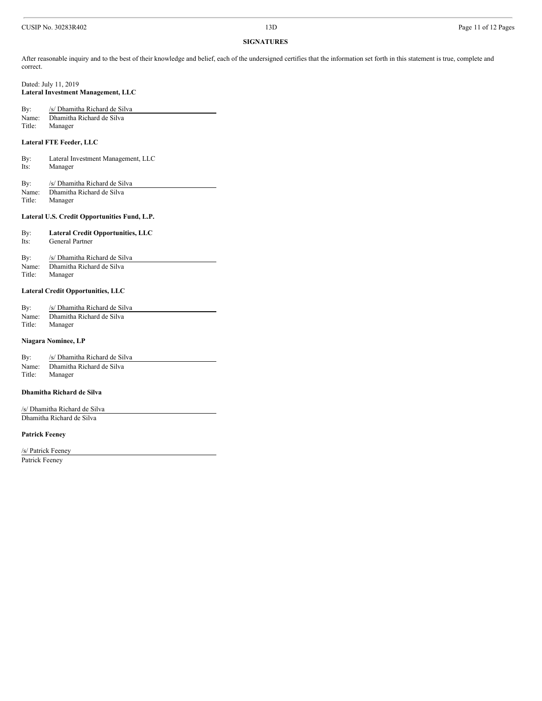#### **SIGNATURES**

After reasonable inquiry and to the best of their knowledge and belief, each of the undersigned certifies that the information set forth in this statement is true, complete and correct.

Dated: July 11, 2019 **Lateral Investment Management, LLC**

| By:    | /s/ Dhamitha Richard de Silva |
|--------|-------------------------------|
| Name:  | Dhamitha Richard de Silva     |
| Title: | Manager                       |

#### **Lateral FTE Feeder, LLC**

By: Lateral Investment Management, LLC Its: Manager

By: /s/ Dhamitha Richard de Silva Name: Dhamitha Richard de Silva<br>Title: Manager Manager

#### **Lateral U.S. Credit Opportunities Fund, L.P.**

| By:  | <b>Lateral Credit Opportunities, LLC</b> |
|------|------------------------------------------|
| Its: | General Partner                          |

By: /s/ Dhamitha Richard de Silva Name: Dhamitha Richard de Silva Title: Manager

#### **Lateral Credit Opportunities, LLC**

| By:    | /s/ Dhamitha Richard de Silva |
|--------|-------------------------------|
| Name:  | Dhamitha Richard de Silva     |
| Title: | Manager                       |

#### **Niagara Nominee, LP**

| By:    | /s/ Dhamitha Richard de Silva |
|--------|-------------------------------|
| Name:  | Dhamitha Richard de Silva     |
| Title: | Manager                       |

#### **Dhamitha Richard de Silva**

/s/ Dhamitha Richard de Silva Dhamitha Richard de Silva

#### **Patrick Feeney**

/s/ Patrick Feeney Patrick Feeney